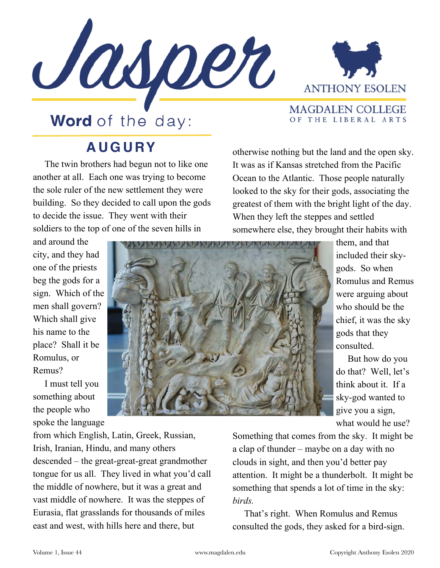



OF THE LIBERAL ARTS

## **Word** of the day:

## **AUGURY**

 The twin brothers had begun not to like one another at all. Each one was trying to become the sole ruler of the new settlement they were building. So they decided to call upon the gods to decide the issue. They went with their soldiers to the top of one of the seven hills in

and around the city, and they had one of the priests beg the gods for a sign. Which of the men shall govern? Which shall give his name to the place? Shall it be Romulus, or Remus?

 I must tell you something about the people who spoke the language

otherwise nothing but the land and the open sky. It was as if Kansas stretched from the Pacific Ocean to the Atlantic. Those people naturally looked to the sky for their gods, associating the greatest of them with the bright light of the day. When they left the steppes and settled somewhere else, they brought their habits with

> them, and that included their skygods. So when Romulus and Remus were arguing about who should be the chief, it was the sky gods that they consulted.

 But how do you do that? Well, let's think about it. If a sky-god wanted to give you a sign, what would he use?

from which English, Latin, Greek, Russian, Irish, Iranian, Hindu, and many others descended – the great-great-great grandmother tongue for us all. They lived in what you'd call the middle of nowhere, but it was a great and vast middle of nowhere. It was the steppes of Eurasia, flat grasslands for thousands of miles east and west, with hills here and there, but

Something that comes from the sky. It might be a clap of thunder – maybe on a day with no clouds in sight, and then you'd better pay attention. It might be a thunderbolt. It might be something that spends a lot of time in the sky: *birds.* 

That's right. When Romulus and Remus consulted the gods, they asked for a bird-sign.